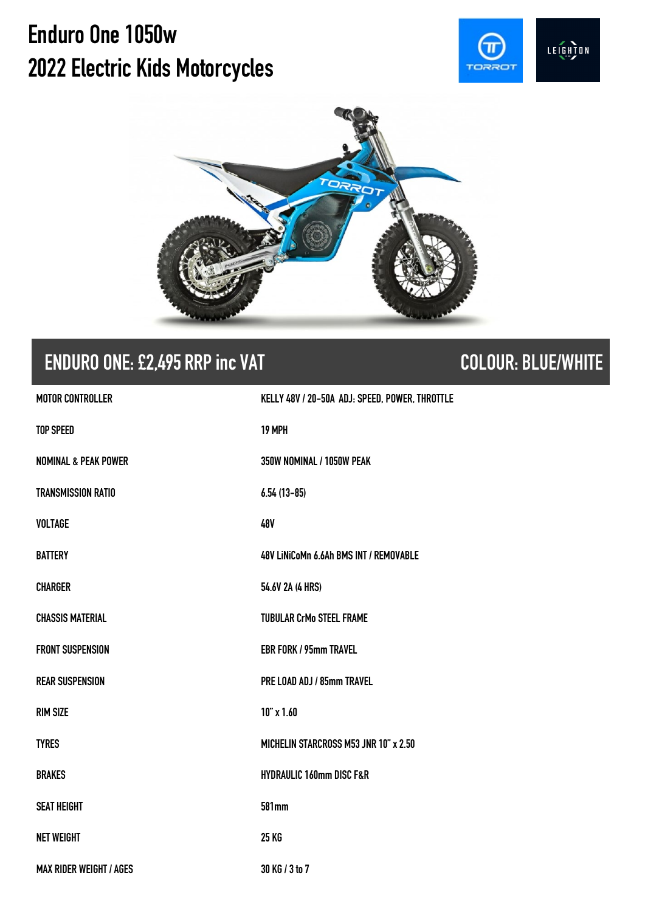# **Enduro One 1050w 2022Electric Kids Motorcycles**





# **ENDURO ONE:£2,495 RRP inc VAT COLOUR: BLUE/WHITE**

| <b>MOTOR CONTROLLER</b>         | KELLY 48V / 20-50A ADJ: SPEED, POWER, THROTTLE |
|---------------------------------|------------------------------------------------|
| <b>TOP SPEED</b>                | 19 MPH                                         |
| <b>NOMINAL &amp; PEAK POWER</b> | 350W NOMINAL / 1050W PEAK                      |
| <b>TRANSMISSION RATIO</b>       | $6.54(13-85)$                                  |
| <b>VOLTAGE</b>                  | 48V                                            |
| <b>BATTERY</b>                  | 48V LINICoMn 6.6Ah BMS INT / REMOVABLE         |
| <b>CHARGER</b>                  | 54.6V 2A (4 HRS)                               |
| <b>CHASSIS MATERIAL</b>         | <b>TUBULAR CrMo STEEL FRAME</b>                |
| <b>FRONT SUSPENSION</b>         | <b>EBR FORK / 95mm TRAVEL</b>                  |
| <b>REAR SUSPENSION</b>          | PRE LOAD ADJ / 85mm TRAVEL                     |
| <b>RIM SIZE</b>                 | $10''$ x $1.60$                                |
| <b>TYRES</b>                    | MICHELIN STARCROSS M53 JNR 10" x 2.50          |
| <b>BRAKES</b>                   | <b>HYDRAULIC 160mm DISC F&amp;R</b>            |
| <b>SEAT HEIGHT</b>              | 581mm                                          |
| <b>NET WEIGHT</b>               | 25 KG                                          |
| <b>MAX RIDER WEIGHT / AGES</b>  | 30 KG / 3 to 7                                 |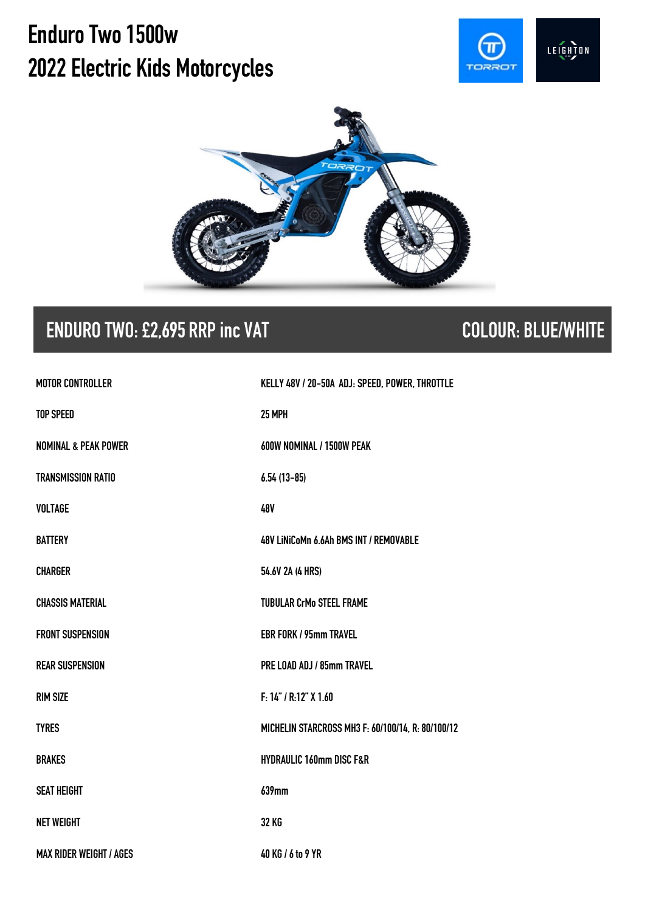# **Enduro Two 1500w 2022Electric Kids Motorcycles**





## **ENDURO TWO: £2,695 RRP inc VAT COLOUR: BLUE/WHITE**

| <b>MOTOR CONTROLLER</b>         | KELLY 48V / 20-50A ADJ: SPEED, POWER, THROTTLE    |
|---------------------------------|---------------------------------------------------|
| <b>TOP SPEED</b>                | 25 MPH                                            |
| <b>NOMINAL &amp; PEAK POWER</b> | 600W NOMINAL / 1500W PEAK                         |
| <b>TRANSMISSION RATIO</b>       | $6.54(13-85)$                                     |
| <b>VOLTAGE</b>                  | 48V                                               |
| <b>BATTERY</b>                  | 48V LiNiCoMn 6.6Ah BMS INT / REMOVABLE            |
| <b>CHARGER</b>                  | 54.6V 2A (4 HRS)                                  |
| <b>CHASSIS MATERIAL</b>         | <b>TUBULAR CrMo STEEL FRAME</b>                   |
| <b>FRONT SUSPENSION</b>         | <b>EBR FORK / 95mm TRAVEL</b>                     |
| <b>REAR SUSPENSION</b>          | PRE LOAD ADJ / 85mm TRAVEL                        |
| <b>RIM SIZE</b>                 | F: 14" / R: 12" X 1.60                            |
| <b>TYRES</b>                    | MICHELIN STARCROSS MH3 F: 60/100/14, R: 80/100/12 |
| <b>BRAKES</b>                   | <b>HYDRAULIC 160mm DISC F&amp;R</b>               |
| <b>SEAT HEIGHT</b>              | 639mm                                             |
| <b>NET WEIGHT</b>               | <b>32 KG</b>                                      |
| <b>MAX RIDER WEIGHT / AGES</b>  | 40 KG / 6 to 9 YR                                 |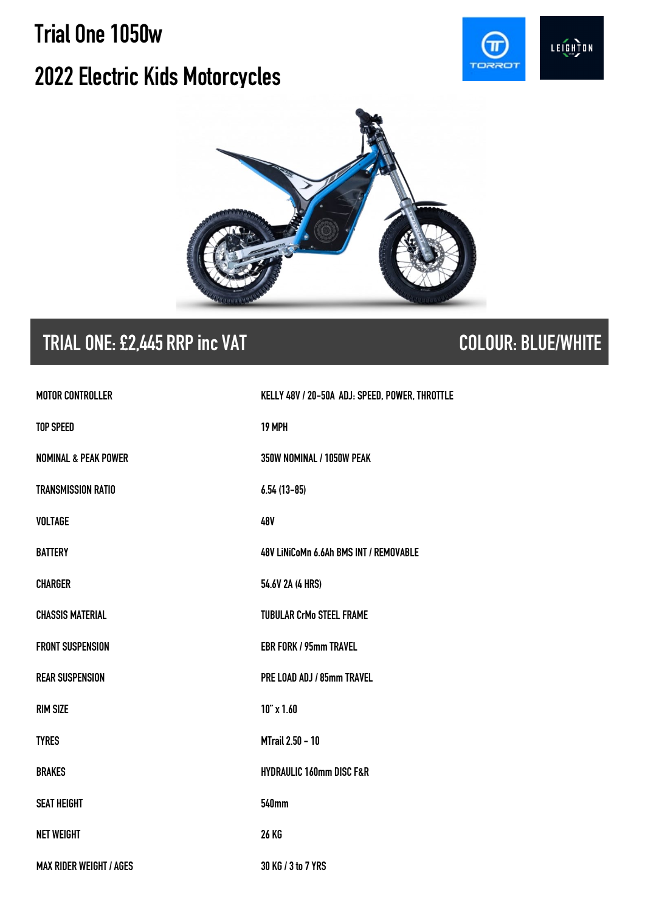# **Trial One1050w 2022 Electric Kids Motorcycles**





# **TRIAL ONE: £2,445 RRP inc VAT COLOUR: BLUE/WHITE**

| <b>MOTOR CONTROLLER</b>         | KELLY 48V / 20-50A ADJ: SPEED, POWER, THROTTLE |
|---------------------------------|------------------------------------------------|
| <b>TOP SPEED</b>                | 19 MPH                                         |
| <b>NOMINAL &amp; PEAK POWER</b> | 350W NOMINAL / 1050W PEAK                      |
| <b>TRANSMISSION RATIO</b>       | $6.54(13-85)$                                  |
| <b>VOLTAGE</b>                  | 48V                                            |
| <b>BATTERY</b>                  | 48V LINICoMn 6.6Ah BMS INT / REMOVABLE         |
| <b>CHARGER</b>                  | 54.6V 2A (4 HRS)                               |
| <b>CHASSIS MATERIAL</b>         | <b>TUBULAR CrMo STEEL FRAME</b>                |
| <b>FRONT SUSPENSION</b>         | <b>EBR FORK / 95mm TRAVEL</b>                  |
| <b>REAR SUSPENSION</b>          | PRE LOAD ADJ / 85mm TRAVEL                     |
| <b>RIM SIZE</b>                 | $10''$ x $1.60$                                |
| <b>TYRES</b>                    | <b>MTrail 2.50 - 10</b>                        |
| <b>BRAKES</b>                   | <b>HYDRAULIC 160mm DISC F&amp;R</b>            |
| <b>SEAT HEIGHT</b>              | <b>540mm</b>                                   |
| <b>NET WEIGHT</b>               | <b>26 KG</b>                                   |
| <b>MAX RIDER WEIGHT / AGES</b>  | 30 KG / 3 to 7 YRS                             |